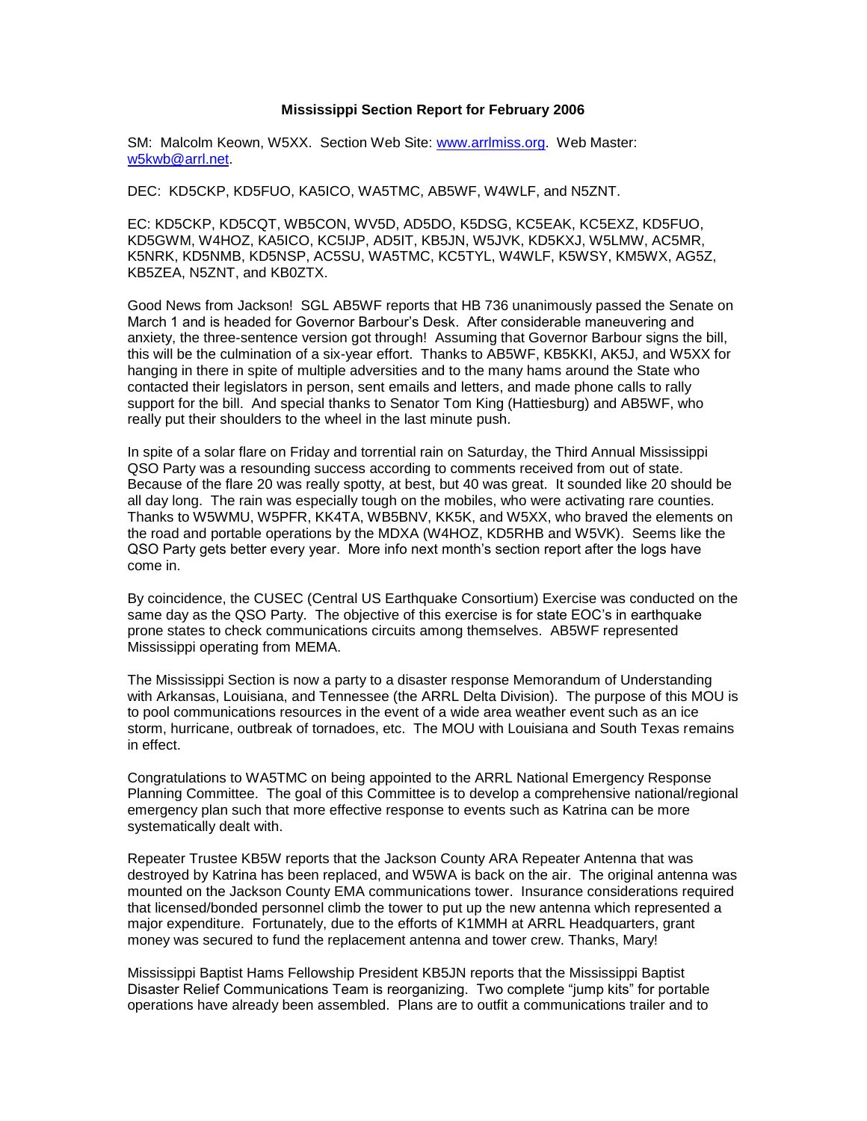## **Mississippi Section Report for February 2006**

SM: Malcolm Keown, W5XX. Section Web Site: [www.arrlmiss.org.](http://www.arrlmiss.org/) Web Master: [w5kwb@arrl.net.](mailto:w5kwb@arrl.net)

DEC: KD5CKP, KD5FUO, KA5ICO, WA5TMC, AB5WF, W4WLF, and N5ZNT.

EC: KD5CKP, KD5CQT, WB5CON, WV5D, AD5DO, K5DSG, KC5EAK, KC5EXZ, KD5FUO, KD5GWM, W4HOZ, KA5ICO, KC5IJP, AD5IT, KB5JN, W5JVK, KD5KXJ, W5LMW, AC5MR, K5NRK, KD5NMB, KD5NSP, AC5SU, WA5TMC, KC5TYL, W4WLF, K5WSY, KM5WX, AG5Z, KB5ZEA, N5ZNT, and KB0ZTX.

Good News from Jackson! SGL AB5WF reports that HB 736 unanimously passed the Senate on March 1 and is headed for Governor Barbour's Desk. After considerable maneuvering and anxiety, the three-sentence version got through! Assuming that Governor Barbour signs the bill, this will be the culmination of a six-year effort. Thanks to AB5WF, KB5KKI, AK5J, and W5XX for hanging in there in spite of multiple adversities and to the many hams around the State who contacted their legislators in person, sent emails and letters, and made phone calls to rally support for the bill. And special thanks to Senator Tom King (Hattiesburg) and AB5WF, who really put their shoulders to the wheel in the last minute push.

In spite of a solar flare on Friday and torrential rain on Saturday, the Third Annual Mississippi QSO Party was a resounding success according to comments received from out of state. Because of the flare 20 was really spotty, at best, but 40 was great. It sounded like 20 should be all day long. The rain was especially tough on the mobiles, who were activating rare counties. Thanks to W5WMU, W5PFR, KK4TA, WB5BNV, KK5K, and W5XX, who braved the elements on the road and portable operations by the MDXA (W4HOZ, KD5RHB and W5VK). Seems like the QSO Party gets better every year. More info next month's section report after the logs have come in.

By coincidence, the CUSEC (Central US Earthquake Consortium) Exercise was conducted on the same day as the QSO Party. The objective of this exercise is for state EOC's in earthquake prone states to check communications circuits among themselves. AB5WF represented Mississippi operating from MEMA.

The Mississippi Section is now a party to a disaster response Memorandum of Understanding with Arkansas, Louisiana, and Tennessee (the ARRL Delta Division). The purpose of this MOU is to pool communications resources in the event of a wide area weather event such as an ice storm, hurricane, outbreak of tornadoes, etc. The MOU with Louisiana and South Texas remains in effect.

Congratulations to WA5TMC on being appointed to the ARRL National Emergency Response Planning Committee. The goal of this Committee is to develop a comprehensive national/regional emergency plan such that more effective response to events such as Katrina can be more systematically dealt with.

Repeater Trustee KB5W reports that the Jackson County ARA Repeater Antenna that was destroyed by Katrina has been replaced, and W5WA is back on the air. The original antenna was mounted on the Jackson County EMA communications tower. Insurance considerations required that licensed/bonded personnel climb the tower to put up the new antenna which represented a major expenditure. Fortunately, due to the efforts of K1MMH at ARRL Headquarters, grant money was secured to fund the replacement antenna and tower crew. Thanks, Mary!

Mississippi Baptist Hams Fellowship President KB5JN reports that the Mississippi Baptist Disaster Relief Communications Team is reorganizing. Two complete "jump kits" for portable operations have already been assembled. Plans are to outfit a communications trailer and to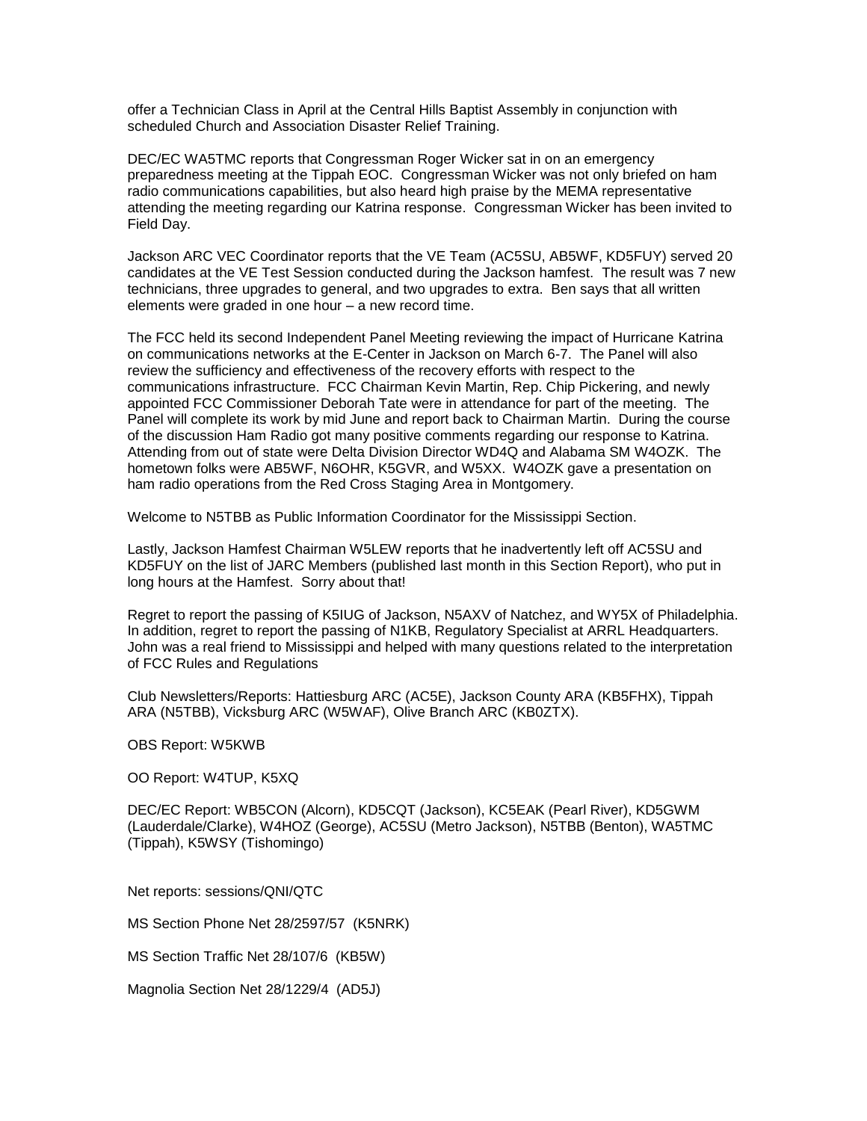offer a Technician Class in April at the Central Hills Baptist Assembly in conjunction with scheduled Church and Association Disaster Relief Training.

DEC/EC WA5TMC reports that Congressman Roger Wicker sat in on an emergency preparedness meeting at the Tippah EOC. Congressman Wicker was not only briefed on ham radio communications capabilities, but also heard high praise by the MEMA representative attending the meeting regarding our Katrina response. Congressman Wicker has been invited to Field Day.

Jackson ARC VEC Coordinator reports that the VE Team (AC5SU, AB5WF, KD5FUY) served 20 candidates at the VE Test Session conducted during the Jackson hamfest. The result was 7 new technicians, three upgrades to general, and two upgrades to extra. Ben says that all written elements were graded in one hour – a new record time.

The FCC held its second Independent Panel Meeting reviewing the impact of Hurricane Katrina on communications networks at the E-Center in Jackson on March 6-7. The Panel will also review the sufficiency and effectiveness of the recovery efforts with respect to the communications infrastructure. FCC Chairman Kevin Martin, Rep. Chip Pickering, and newly appointed FCC Commissioner Deborah Tate were in attendance for part of the meeting. The Panel will complete its work by mid June and report back to Chairman Martin. During the course of the discussion Ham Radio got many positive comments regarding our response to Katrina. Attending from out of state were Delta Division Director WD4Q and Alabama SM W4OZK. The hometown folks were AB5WF, N6OHR, K5GVR, and W5XX. W4OZK gave a presentation on ham radio operations from the Red Cross Staging Area in Montgomery.

Welcome to N5TBB as Public Information Coordinator for the Mississippi Section.

Lastly, Jackson Hamfest Chairman W5LEW reports that he inadvertently left off AC5SU and KD5FUY on the list of JARC Members (published last month in this Section Report), who put in long hours at the Hamfest. Sorry about that!

Regret to report the passing of K5IUG of Jackson, N5AXV of Natchez, and WY5X of Philadelphia. In addition, regret to report the passing of N1KB, Regulatory Specialist at ARRL Headquarters. John was a real friend to Mississippi and helped with many questions related to the interpretation of FCC Rules and Regulations

Club Newsletters/Reports: Hattiesburg ARC (AC5E), Jackson County ARA (KB5FHX), Tippah ARA (N5TBB), Vicksburg ARC (W5WAF), Olive Branch ARC (KB0ZTX).

OBS Report: W5KWB

OO Report: W4TUP, K5XQ

DEC/EC Report: WB5CON (Alcorn), KD5CQT (Jackson), KC5EAK (Pearl River), KD5GWM (Lauderdale/Clarke), W4HOZ (George), AC5SU (Metro Jackson), N5TBB (Benton), WA5TMC (Tippah), K5WSY (Tishomingo)

Net reports: sessions/QNI/QTC

MS Section Phone Net 28/2597/57 (K5NRK)

MS Section Traffic Net 28/107/6 (KB5W)

Magnolia Section Net 28/1229/4 (AD5J)